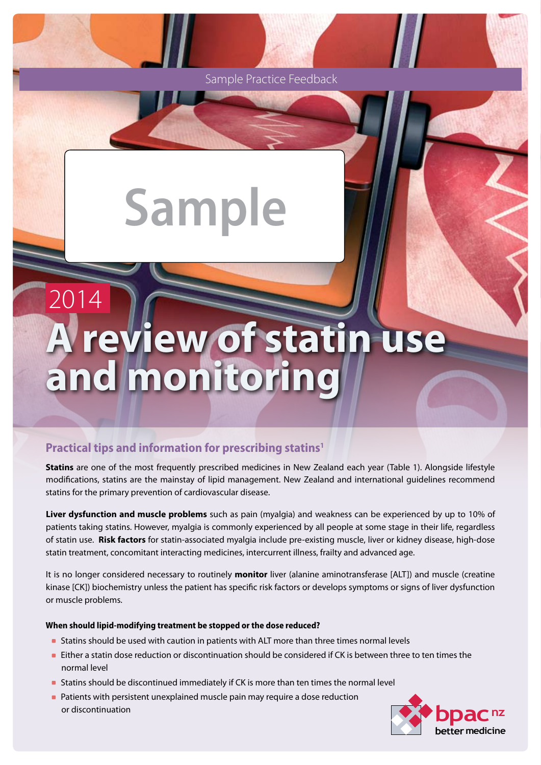Sample Practice Feedback

# **Sample**

# **A review of statin use**  and monitoring 2014

# **Practical tips and information for prescribing statins1**

**Statins** are one of the most frequently prescribed medicines in New Zealand each year (Table 1). Alongside lifestyle modifications, statins are the mainstay of lipid management. New Zealand and international guidelines recommend statins for the primary prevention of cardiovascular disease.

**Liver dysfunction and muscle problems** such as pain (myalgia) and weakness can be experienced by up to 10% of patients taking statins. However, myalgia is commonly experienced by all people at some stage in their life, regardless of statin use. **Risk factors** for statin-associated myalgia include pre-existing muscle, liver or kidney disease, high-dose statin treatment, concomitant interacting medicines, intercurrent illness, frailty and advanced age.

It is no longer considered necessary to routinely **monitor** liver (alanine aminotransferase [ALT]) and muscle (creatine kinase [CK]) biochemistry unless the patient has specific risk factors or develops symptoms or signs of liver dysfunction or muscle problems.

#### **When should lipid-modifying treatment be stopped or the dose reduced?**

- Statins should be used with caution in patients with ALT more than three times normal levels
- **Either a statin dose reduction or discontinuation should be considered if CK is between three to ten times the** normal level
- Statins should be discontinued immediately if CK is more than ten times the normal level
- **Patients with persistent unexplained muscle pain may require a dose reduction** or discontinuation